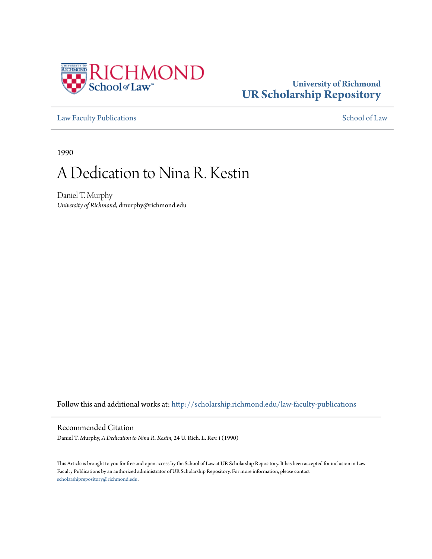

### **University of Richmond [UR Scholarship Repository](http://scholarship.richmond.edu?utm_source=scholarship.richmond.edu%2Flaw-faculty-publications%2F361&utm_medium=PDF&utm_campaign=PDFCoverPages)**

[Law Faculty Publications](http://scholarship.richmond.edu/law-faculty-publications?utm_source=scholarship.richmond.edu%2Flaw-faculty-publications%2F361&utm_medium=PDF&utm_campaign=PDFCoverPages) [School of Law](http://scholarship.richmond.edu/law?utm_source=scholarship.richmond.edu%2Flaw-faculty-publications%2F361&utm_medium=PDF&utm_campaign=PDFCoverPages)

1990

# A Dedication to Nina R. Kestin

Daniel T. Murphy *University of Richmond*, dmurphy@richmond.edu

Follow this and additional works at: [http://scholarship.richmond.edu/law-faculty-publications](http://scholarship.richmond.edu/law-faculty-publications?utm_source=scholarship.richmond.edu%2Flaw-faculty-publications%2F361&utm_medium=PDF&utm_campaign=PDFCoverPages)

### Recommended Citation

Daniel T. Murphy, *A Dedication to Nina R. Kestin,* 24 U. Rich. L. Rev. i (1990)

This Article is brought to you for free and open access by the School of Law at UR Scholarship Repository. It has been accepted for inclusion in Law Faculty Publications by an authorized administrator of UR Scholarship Repository. For more information, please contact [scholarshiprepository@richmond.edu.](mailto:scholarshiprepository@richmond.edu)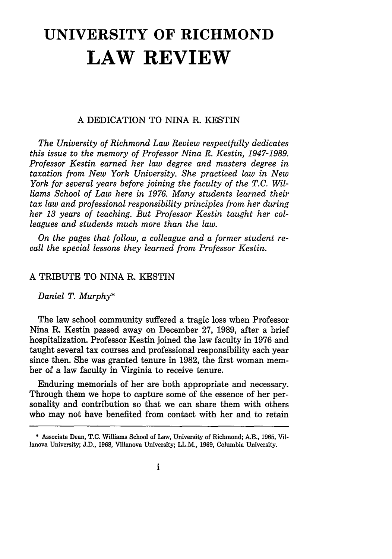## **UNIVERSITY OF RICHMOND LAW REVIEW**

#### A DEDICATION TO NINA R. KESTIN

*The University of Richmond Law Review respectfuUy dedicates this issue to the memory of Professor Nina R. Kestin, 1947-1989. Professor Kestin earned her law degree and masters degree in taxation from New York University. She practiced law in New York for several years before joining the faculty of the T.C. Williams School of Law here in 1976. Many students learned their tax law and professional responsibility principles from her during her 13 years of teaching. But Professor Kestin taught her colleagues and students much more than the law.* 

*On the pages that follow, a colleague and a former student recall the special lessons they learned from Professor Kestin.* 

### A TRffiUTE TO NINA R. KESTIN

*Daniel T. Murphy\** 

The law school community suffered a tragic loss when Professor Nina R. Kestin passed away on December 27, 1989, after a brief hospitalization. Professor Kestin joined the law faculty in 1976 and taught several tax courses and professional responsibility each year since then. She was granted tenure in 1982, the first woman member of a law faculty in Virginia to receive tenure.

Enduring memorials of her are both appropriate and necessary. Through them we hope to capture some of the essence of her personality and contribution so that we can share them with others who may not have benefited from contact with her and to retain

<sup>•</sup> Associate Dean, T.C. Williams School of Law, University of Richmond; A.B., 1965, Villanova University; J.D., 1968, Villanova University; LL.M., 1969, Columbia University.